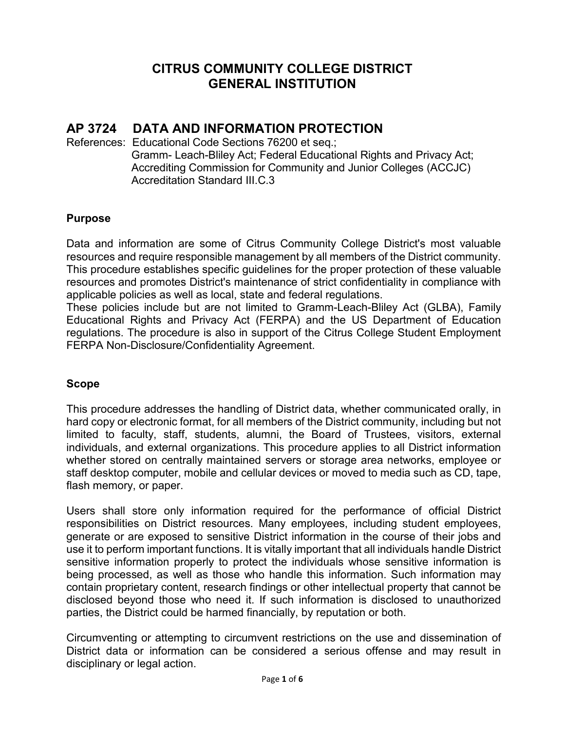## **CITRUS COMMUNITY COLLEGE DISTRICT GENERAL INSTITUTION**

# **AP 3724 DATA AND INFORMATION PROTECTION**

References: Educational Code Sections 76200 et seq.; Gramm- Leach-Bliley Act; Federal Educational Rights and Privacy Act; Accrediting Commission for Community and Junior Colleges (ACCJC) Accreditation Standard III C 3

## **Purpose**

Data and information are some of Citrus Community College District's most valuable resources and require responsible management by all members of the District community. This procedure establishes specific guidelines for the proper protection of these valuable resources and promotes District's maintenance of strict confidentiality in compliance with applicable policies as well as local, state and federal regulations.

These policies include but are not limited to Gramm-Leach-Bliley Act (GLBA), Family Educational Rights and Privacy Act (FERPA) and the US Department of Education regulations. The procedure is also in support of the Citrus College Student Employment FERPA Non-Disclosure/Confidentiality Agreement.

#### **Scope**

This procedure addresses the handling of District data, whether communicated orally, in hard copy or electronic format, for all members of the District community, including but not limited to faculty, staff, students, alumni, the Board of Trustees, visitors, external individuals, and external organizations. This procedure applies to all District information whether stored on centrally maintained servers or storage area networks, employee or staff desktop computer, mobile and cellular devices or moved to media such as CD, tape, flash memory, or paper.

Users shall store only information required for the performance of official District responsibilities on District resources. Many employees, including student employees, generate or are exposed to sensitive District information in the course of their jobs and use it to perform important functions. It is vitally important that all individuals handle District sensitive information properly to protect the individuals whose sensitive information is being processed, as well as those who handle this information. Such information may contain proprietary content, research findings or other intellectual property that cannot be disclosed beyond those who need it. If such information is disclosed to unauthorized parties, the District could be harmed financially, by reputation or both.

Circumventing or attempting to circumvent restrictions on the use and dissemination of District data or information can be considered a serious offense and may result in disciplinary or legal action.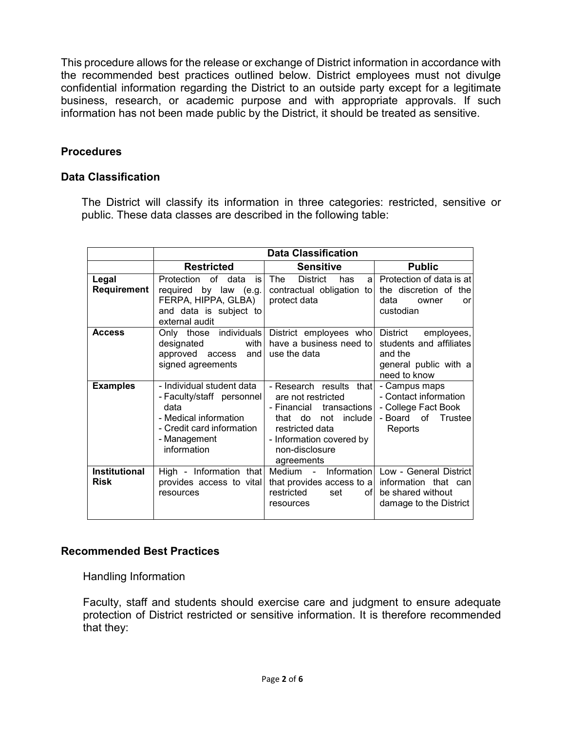This procedure allows for the release or exchange of District information in accordance with the recommended best practices outlined below. District employees must not divulge confidential information regarding the District to an outside party except for a legitimate business, research, or academic purpose and with appropriate approvals. If such information has not been made public by the District, it should be treated as sensitive.

## **Procedures**

#### **Data Classification**

The District will classify its information in three categories: restricted, sensitive or public. These data classes are described in the following table:

|                                     | <b>Data Classification</b>                                                                                                                          |                                                                                                                                                                                 |                                                                                                       |
|-------------------------------------|-----------------------------------------------------------------------------------------------------------------------------------------------------|---------------------------------------------------------------------------------------------------------------------------------------------------------------------------------|-------------------------------------------------------------------------------------------------------|
|                                     | <b>Restricted</b>                                                                                                                                   | <b>Sensitive</b>                                                                                                                                                                | <b>Public</b>                                                                                         |
| Legal<br>Requirement                | Protection<br>of data<br>is l<br>required by law (e.g.)<br>FERPA, HIPPA, GLBA)<br>and data is subject to<br>external audit                          | The<br><b>District</b><br>has<br>a.<br>contractual obligation to<br>protect data                                                                                                | Protection of data is at<br>the discretion of the<br>data<br>owner<br>or<br>custodian                 |
| <b>Access</b>                       | Only those individuals<br>with<br>designated<br>approved access<br>and<br>signed agreements                                                         | District employees who<br>have a business need to<br>use the data                                                                                                               | District<br>employees,<br>students and affiliates<br>and the<br>general public with a<br>need to know |
| <b>Examples</b>                     | - Individual student data<br>- Faculty/staff personnel<br>data<br>- Medical information<br>- Credit card information<br>- Management<br>information | - Research results that<br>are not restricted<br>- Financial transactions<br>that do not include<br>restricted data<br>- Information covered by<br>non-disclosure<br>agreements | - Campus maps<br>- Contact information<br>- College Fact Book<br>- Board of<br>Trustee<br>Reports     |
| <b>Institutional</b><br><b>Risk</b> | provides access to vital<br>resources                                                                                                               | High - Information that Medium - Information<br>that provides access to a information that can<br>restricted<br>set<br>ofl<br>resources                                         | Low - General District<br>be shared without<br>damage to the District                                 |

#### **Recommended Best Practices**

Handling Information

Faculty, staff and students should exercise care and judgment to ensure adequate protection of District restricted or sensitive information. It is therefore recommended that they: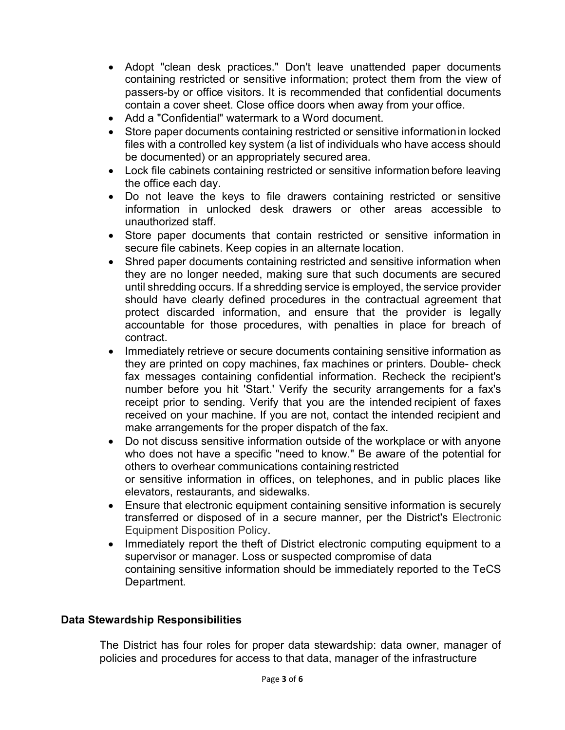- Adopt "clean desk practices." Don't leave unattended paper documents containing restricted or sensitive information; protect them from the view of passers-by or office visitors. It is recommended that confidential documents contain a cover sheet. Close office doors when away from your office.
- Add a "Confidential" watermark to a Word document.
- Store paper documents containing restricted or sensitive informationin locked files with a controlled key system (a list of individuals who have access should be documented) or an appropriately secured area.
- Lock file cabinets containing restricted or sensitive information before leaving the office each day.
- Do not leave the keys to file drawers containing restricted or sensitive information in unlocked desk drawers or other areas accessible to unauthorized staff.
- Store paper documents that contain restricted or sensitive information in secure file cabinets. Keep copies in an alternate location.
- Shred paper documents containing restricted and sensitive information when they are no longer needed, making sure that such documents are secured until shredding occurs. If a shredding service is employed, the service provider should have clearly defined procedures in the contractual agreement that protect discarded information, and ensure that the provider is legally accountable for those procedures, with penalties in place for breach of contract.
- Immediately retrieve or secure documents containing sensitive information as they are printed on copy machines, fax machines or printers. Double- check fax messages containing confidential information. Recheck the recipient's number before you hit 'Start.' Verify the security arrangements for a fax's receipt prior to sending. Verify that you are the intended recipient of faxes received on your machine. If you are not, contact the intended recipient and make arrangements for the proper dispatch of the fax.
- Do not discuss sensitive information outside of the workplace or with anyone who does not have a specific "need to know." Be aware of the potential for others to overhear communications containing restricted or sensitive information in offices, on telephones, and in public places like elevators, restaurants, and sidewalks.
- Ensure that electronic equipment containing sensitive information is securely transferred or disposed of in a secure manner, per the District's [Electronic](http://www.brown.edu/Facilities/CIS/policy/eedispose.htm)  [Equipment Disposition](http://www.brown.edu/Facilities/CIS/policy/eedispose.htm) Policy.
- Immediately report the theft of District electronic computing equipment to a supervisor or manager. Loss or suspected compromise of data containing sensitive information should be immediately reported to the TeCS Department.

## **Data Stewardship Responsibilities**

The District has four roles for proper data stewardship: data owner, manager of policies and procedures for access to that data, manager of the infrastructure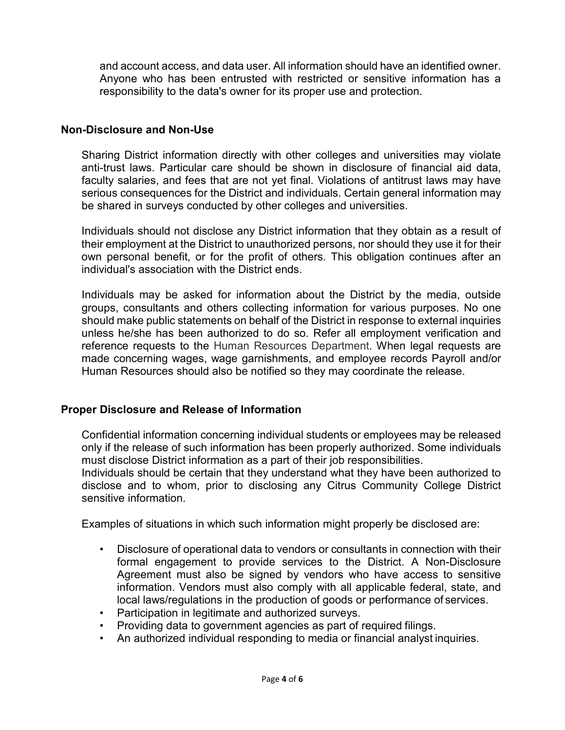and account access, and data user. All information should have an identified owner. Anyone who has been entrusted with restricted or sensitive information has a responsibility to the data's owner for its proper use and protection.

## **Non-Disclosure and Non-Use**

Sharing District information directly with other colleges and universities may violate anti-trust laws. Particular care should be shown in disclosure of financial aid data, faculty salaries, and fees that are not yet final. Violations of antitrust laws may have serious consequences for the District and individuals. Certain general information may be shared in surveys conducted by other colleges and universities.

Individuals should not disclose any District information that they obtain as a result of their employment at the District to unauthorized persons, nor should they use it for their own personal benefit, or for the profit of others. This obligation continues after an individual's association with the District ends.

Individuals may be asked for information about the District by the media, outside groups, consultants and others collecting information for various purposes. No one should make public statements on behalf of the District in response to external inquiries unless he/she has been authorized to do so. Refer all employment verification and reference requests to the [Human Resources Department.](http://www.brown.edu/Administration/Human_Resources/index.html) When legal requests are made concerning wages, wage garnishments, and employee records Payroll and/or Human Resources should also be notified so they may coordinate the release.

#### **Proper Disclosure and Release of Information**

Confidential information concerning individual students or employees may be released only if the release of such information has been properly authorized. Some individuals must disclose District information as a part of their job responsibilities.

Individuals should be certain that they understand what they have been authorized to disclose and to whom, prior to disclosing any Citrus Community College District sensitive information.

Examples of situations in which such information might properly be disclosed are:

- Disclosure of operational data to vendors or consultants in connection with their formal engagement to provide services to the District. A Non-Disclosure Agreement must also be signed by vendors who have access to sensitive information. Vendors must also comply with all applicable federal, state, and local laws/regulations in the production of goods or performance of services.
- Participation in legitimate and authorized surveys.
- Providing data to government agencies as part of required filings.
- An authorized individual responding to media or financial analyst inquiries.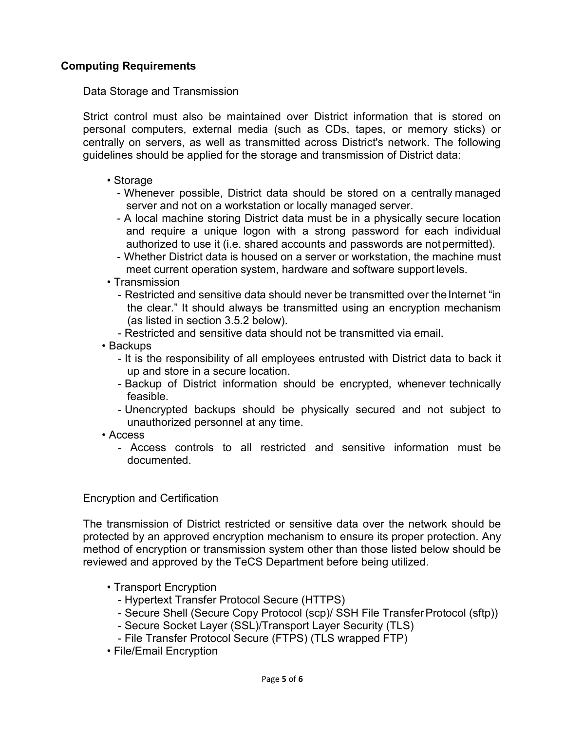## **Computing Requirements**

Data Storage and Transmission

Strict control must also be maintained over District information that is stored on personal computers, external media (such as CDs, tapes, or memory sticks) or centrally on servers, as well as transmitted across District's network. The following guidelines should be applied for the storage and transmission of District data:

- Storage
	- Whenever possible, District data should be stored on a centrally managed server and not on a workstation or locally managed server.
	- A local machine storing District data must be in a physically secure location and require a unique logon with a strong password for each individual authorized to use it (i.e. shared accounts and passwords are not permitted).
	- Whether District data is housed on a server or workstation, the machine must meet current operation system, hardware and software support levels.
- Transmission
	- Restricted and sensitive data should never be transmitted over the Internet "in the clear." It should always be transmitted using an encryption mechanism (as listed in section 3.5.2 below).
	- Restricted and sensitive data should not be transmitted via email.
- Backups
	- It is the responsibility of all employees entrusted with District data to back it up and store in a secure location.
	- Backup of District information should be encrypted, whenever technically feasible.
	- Unencrypted backups should be physically secured and not subject to unauthorized personnel at any time.
- Access
	- Access controls to all restricted and sensitive information must be documented.

#### Encryption and Certification

The transmission of District restricted or sensitive data over the network should be protected by an approved encryption mechanism to ensure its proper protection. Any method of encryption or transmission system other than those listed below should be reviewed and approved by the TeCS Department before being utilized.

- Transport Encryption
	- Hypertext Transfer Protocol Secure (HTTPS)
	- Secure Shell (Secure Copy Protocol (scp)/ SSH File TransferProtocol (sftp))
	- Secure Socket Layer (SSL)/Transport Layer Security (TLS)
	- File Transfer Protocol Secure (FTPS) (TLS wrapped FTP)
- File/Email Encryption